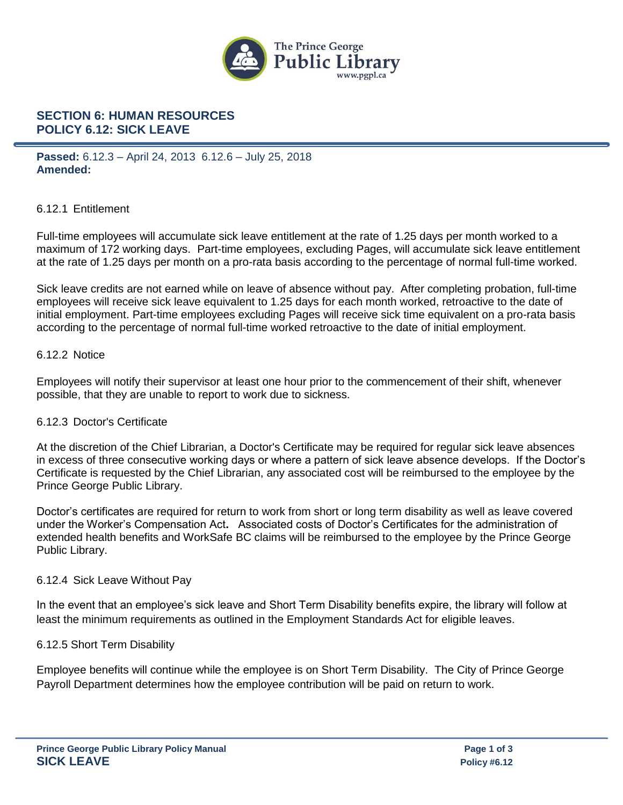

# **SECTION 6: HUMAN RESOURCES POLICY 6.12: SICK LEAVE**

**Passed:** 6.12.3 – April 24, 2013 6.12.6 – July 25, 2018 **Amended:**

### 6.12.1 Entitlement

Full-time employees will accumulate sick leave entitlement at the rate of 1.25 days per month worked to a maximum of 172 working days. Part-time employees, excluding Pages, will accumulate sick leave entitlement at the rate of 1.25 days per month on a pro-rata basis according to the percentage of normal full-time worked.

Sick leave credits are not earned while on leave of absence without pay. After completing probation, full-time employees will receive sick leave equivalent to 1.25 days for each month worked, retroactive to the date of initial employment. Part-time employees excluding Pages will receive sick time equivalent on a pro-rata basis according to the percentage of normal full-time worked retroactive to the date of initial employment.

### 6.12.2 Notice

Employees will notify their supervisor at least one hour prior to the commencement of their shift, whenever possible, that they are unable to report to work due to sickness.

### 6.12.3 Doctor's Certificate

At the discretion of the Chief Librarian, a Doctor's Certificate may be required for regular sick leave absences in excess of three consecutive working days or where a pattern of sick leave absence develops. If the Doctor's Certificate is requested by the Chief Librarian, any associated cost will be reimbursed to the employee by the Prince George Public Library.

Doctor's certificates are required for return to work from short or long term disability as well as leave covered under the Worker's Compensation Act**.** Associated costs of Doctor's Certificates for the administration of extended health benefits and WorkSafe BC claims will be reimbursed to the employee by the Prince George Public Library.

### 6.12.4 Sick Leave Without Pay

In the event that an employee's sick leave and Short Term Disability benefits expire, the library will follow at least the minimum requirements as outlined in the Employment Standards Act for eligible leaves.

### 6.12.5 Short Term Disability

Employee benefits will continue while the employee is on Short Term Disability. The City of Prince George Payroll Department determines how the employee contribution will be paid on return to work.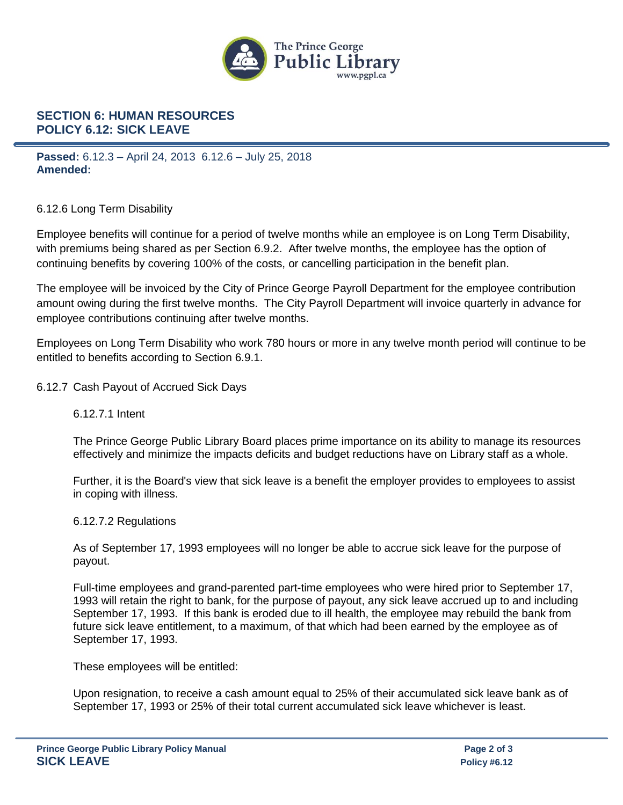

# **SECTION 6: HUMAN RESOURCES POLICY 6.12: SICK LEAVE**

**Passed:** 6.12.3 – April 24, 2013 6.12.6 – July 25, 2018 **Amended:**

## 6.12.6 Long Term Disability

Employee benefits will continue for a period of twelve months while an employee is on Long Term Disability, with premiums being shared as per Section 6.9.2. After twelve months, the employee has the option of continuing benefits by covering 100% of the costs, or cancelling participation in the benefit plan.

The employee will be invoiced by the City of Prince George Payroll Department for the employee contribution amount owing during the first twelve months. The City Payroll Department will invoice quarterly in advance for employee contributions continuing after twelve months.

Employees on Long Term Disability who work 780 hours or more in any twelve month period will continue to be entitled to benefits according to Section 6.9.1.

## 6.12.7 Cash Payout of Accrued Sick Days

## 6.12.7.1 Intent

The Prince George Public Library Board places prime importance on its ability to manage its resources effectively and minimize the impacts deficits and budget reductions have on Library staff as a whole.

Further, it is the Board's view that sick leave is a benefit the employer provides to employees to assist in coping with illness.

### 6.12.7.2 Regulations

As of September 17, 1993 employees will no longer be able to accrue sick leave for the purpose of payout.

Full-time employees and grand-parented part-time employees who were hired prior to September 17, 1993 will retain the right to bank, for the purpose of payout, any sick leave accrued up to and including September 17, 1993. If this bank is eroded due to ill health, the employee may rebuild the bank from future sick leave entitlement, to a maximum, of that which had been earned by the employee as of September 17, 1993.

These employees will be entitled:

Upon resignation, to receive a cash amount equal to 25% of their accumulated sick leave bank as of September 17, 1993 or 25% of their total current accumulated sick leave whichever is least.